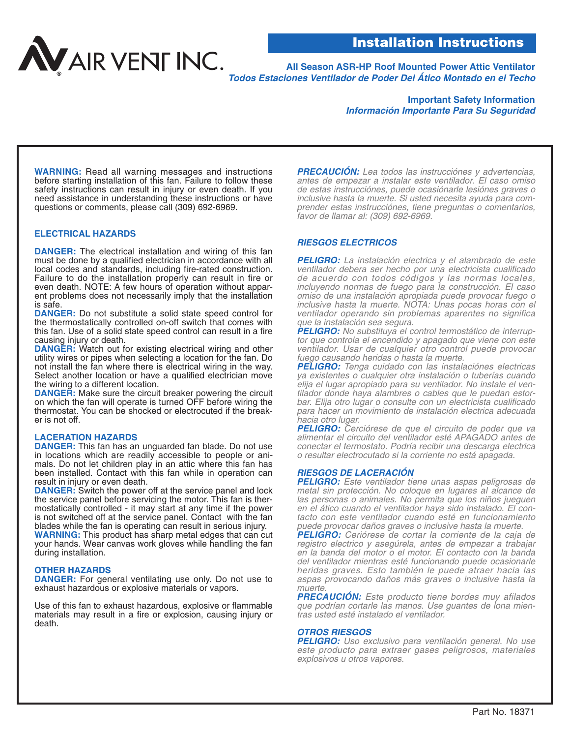**All Season ASR-HP Roof Mounted Power Attic Ventilator Todos Estaciones Ventilador de Poder Del Ático Montado en el Techo**

## **Important Safety Information Información Importante Para Su Seguridad**

**WARNING:** Read all warning messages and instructions before starting installation of this fan. Failure to follow these safety instructions can result in injury or even death. If you need assistance in understanding these instructions or have questions or comments, please call (309) 692-6969.

## **ELECTRICAL HAZARDS**

**DANGER:** The electrical installation and wiring of this fan must be done by a qualified electrician in accordance with all local codes and standards, including fire-rated construction. Failure to do the installation properly can result in fire or even death. NOTE: A few hours of operation without apparent problems does not necessarily imply that the installation is safe.

**DANGER:** Do not substitute a solid state speed control for the thermostatically controlled on-off switch that comes with this fan. Use of a solid state speed control can result in a fire causing injury or death.

**DANGER:** Watch out for existing electrical wiring and other utility wires or pipes when selecting a location for the fan. Do not install the fan where there is electrical wiring in the way. Select another location or have a qualified electrician move the wiring to a different location.

**DANGER:** Make sure the circuit breaker powering the circuit on which the fan will operate is turned OFF before wiring the thermostat. You can be shocked or electrocuted if the breaker is not off.

### **LACERATION HAZARDS**

**DANGER:** This fan has an unguarded fan blade. Do not use in locations which are readily accessible to people or animals. Do not let children play in an attic where this fan has been installed. Contact with this fan while in operation can result in injury or even death.

**DANGER:** Switch the power off at the service panel and lock the service panel before servicing the motor. This fan is thermostatically controlled - it may start at any time if the power is not switched off at the service panel. Contact with the fan blades while the fan is operating can result in serious injury. **WARNING:** This product has sharp metal edges that can cut your hands. Wear canvas work gloves while handling the fan

## **OTHER HAZARDS**

during installation.

**DANGER:** For general ventilating use only. Do not use to exhaust hazardous or explosive materials or vapors.

Use of this fan to exhaust hazardous, explosive or flammable materials may result in a fire or explosion, causing injury or death.

**PRECAUCIÓN:** Lea todos las instrucciónes y advertencias, antes de empezar a instalar este ventilador. El caso omiso de estas instrucciónes, puede ocasiónarle lesiónes graves o inclusive hasta la muerte. Si usted necesita ayuda para comprender estas instrucciónes, tiene preguntas o comentarios, favor de llamar al: (309) 692-6969.

## **RIESGOS ELECTRICOS**

**PELIGRO:** La instalación electrica y el alambrado de este ventilador debera ser hecho por una electricista cualificado de acuerdo con todos códigos y las normas locales, incluyendo normas de fuego para la construcción. El caso omiso de una instalación apropiada puede provocar fuego o inclusive hasta la muerte. NOTA: Unas pocas horas con el ventilador operando sin problemas aparentes no significa que la instalación sea segura.<br>**PELIGRO:** No substituya el control termostático de interrup-

tor que controla el encendido y apagado que viene con este ventilador. Usar de cualquier otro control puede provocar fuego causando heridas o hasta la muerte.

**PELIGRO:** Tenga cuidado con las instalaciónes electricas ya existentes o cualquier otra instalación o tuberías cuando elija el lugar apropiado para su ventilador. No instale el ventilador donde haya alambres o cables que le puedan estorbar. Elija otro lugar o consulte con un electricista cualificado para hacer un movimiento de instalación electrica adecuada hacia otro lugar.

**PELIGRO:** Cerciórese de que el circuito de poder que va alimentar el circuito del ventilador esté APAGADO antes de conectar el termostato. Podría recibir una descarga electrica o resultar electrocutado si la corriente no está apagada.

### **RIESGOS DE LACERACIÓN**

**PELIGRO:** Este ventilador tiene unas aspas peligrosas de metal sin protección. No coloque en lugares al alcance de las personas o animales. No permita que los niños jueguen en el ático cuando el ventilador haya sido instalado. El contacto con este ventilador cuando esté en funcionamiento puede provocar daños graves o inclusive hasta la muerte.

**PELIGRO:** Ceriórese de cortar la corriente de la caja de registro electrico y asegúrela, antes de empezar a trabajar en la banda del motor o el motor. El contacto con la banda del ventilador mientras esté funcionando puede ocasionarle heridas graves. Esto también le puede atraer hacia las aspas provocando daños más graves o inclusive hasta la muerte.

**PRECAUCIÓN:** Este producto tiene bordes muy afilados que podrían cortarle las manos. Use guantes de lona mientras usted esté instalado el ventilador.

### **OTROS RIESGOS**

**PELIGRO:** Uso exclusivo para ventilación general. No use este producto para extraer gases peligrosos, materiales explosivos u otros vapores.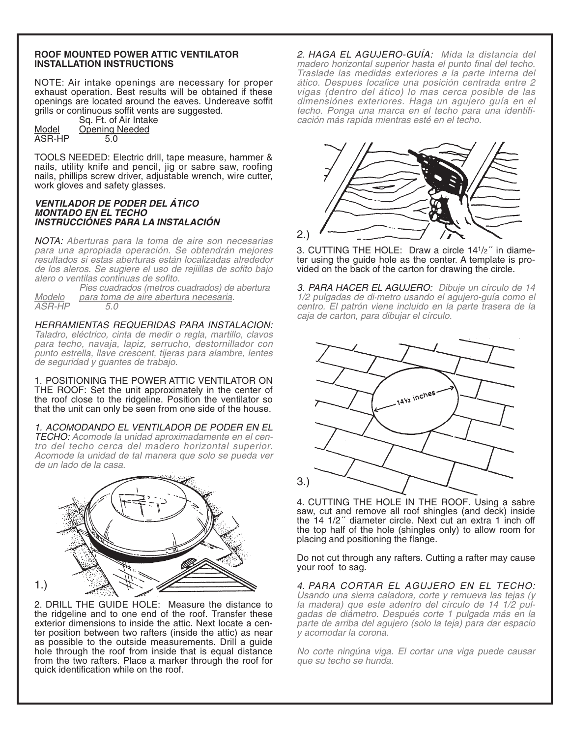## **ROOF MOUNTED POWER ATTIC VENTILATOR INSTALLATION INSTRUCTIONS**

NOTE: Air intake openings are necessary for proper exhaust operation. Best results will be obtained if these openings are located around the eaves. Undereave soffit grills or continuous soffit vents are suggested.

Sq. Ft. of Air Intake Model Opening Needed  $\overline{ASR-HP}$  5.0

TOOLS NEEDED: Electric drill, tape measure, hammer & nails, utility knife and pencil, jig or sabre saw, roofing nails, phillips screw driver, adjustable wrench, wire cutter, work gloves and safety glasses.

## **VENTILADOR DE PODER DEL ÁTICO MONTADO EN EL TECHO INSTRUCCIÓNES PARA LA INSTALACIÓN**

NOTA: Aberturas para la toma de aire son necesarias para una apropiada operación. Se obtendrán mejores resultados si estas aberturas están localizadas alrededor de los aleros. Se sugiere el uso de rejiillas de sofito bajo alero o ventilas continuas de sofito.

 $ASR-HP$  5.0

Pies cuadrados (metros cuadrados) de abertura Modelo para toma de aire abertura necesaria.

HERRAMIENTAS REQUERIDAS PARA INSTALACION: Taladro, eléctrico, cinta de medir o regla, martillo, clavos para techo, navaja, lapiz, serrucho, destornillador con punto estrella, llave crescent, tijeras para alambre, lentes de seguridad y guantes de trabajo.

1. POSITIONING THE POWER ATTIC VENTILATOR ON THE ROOF: Set the unit approximately in the center of the roof close to the ridgeline. Position the ventilator so that the unit can only be seen from one side of the house.

1. ACOMODANDO EL VENTILADOR DE PODER EN EL TECHO: Acomode la unidad aproximadamente en el centro del techo cerca del madero horizontal superior. Acomode la unidad de tal manera que solo se pueda ver de un lado de la casa.



2. DRILL THE GUIDE HOLE: Measure the distance to the ridgeline and to one end of the roof. Transfer these exterior dimensions to inside the attic. Next locate a center position between two rafters (inside the attic) as near as possible to the outside measurements. Drill a guide hole through the roof from inside that is equal distance from the two rafters. Place a marker through the roof for quick identification while on the roof.

2. HAGA EL AGUJERO-GUÍA: Mida la distancia del madero horizontal superior hasta el punto final del techo. Traslade las medidas exteriores a la parte interna del ático. Despues localice una posición centrada entre 2 vigas (dentro del ático) lo mas cerca posible de las dimensiónes exteriores. Haga un agujero guía en el techo. Ponga una marca en el techo para una identificación más rapida mientras esté en el techo.



3. CUTTING THE HOLE: Draw a circle  $14<sup>1</sup>/2<sup>''</sup>$  in diameter using the guide hole as the center. A template is provided on the back of the carton for drawing the circle.

3. PARA HACER EL AGUJERO: Dibuje un círculo de 14 1/2 pulgadas de di·metro usando el agujero-guía como el centro. El patrón viene incluido en la parte trasera de la caja de carton, para dibujar el círculo.



4. CUTTING THE HOLE IN THE ROOF. Using a sabre saw, cut and remove all roof shingles (and deck) inside the 14 1/2´´ diameter circle. Next cut an extra 1 inch off the top half of the hole (shingles only) to allow room for placing and positioning the flange.

Do not cut through any rafters. Cutting a rafter may cause your roof to sag.

4. PARA CORTAR EL AGUJERO EN EL TECHO: Usando una sierra caladora, corte y remueva las tejas (y la madera) que este adentro del círculo de 14 1/2 pulgadas de diámetro. Después corte 1 pulgada más en la parte de arriba del agujero (solo la teja) para dar espacio y acomodar la corona.

No corte ningúna viga. El cortar una viga puede causar que su techo se hunda.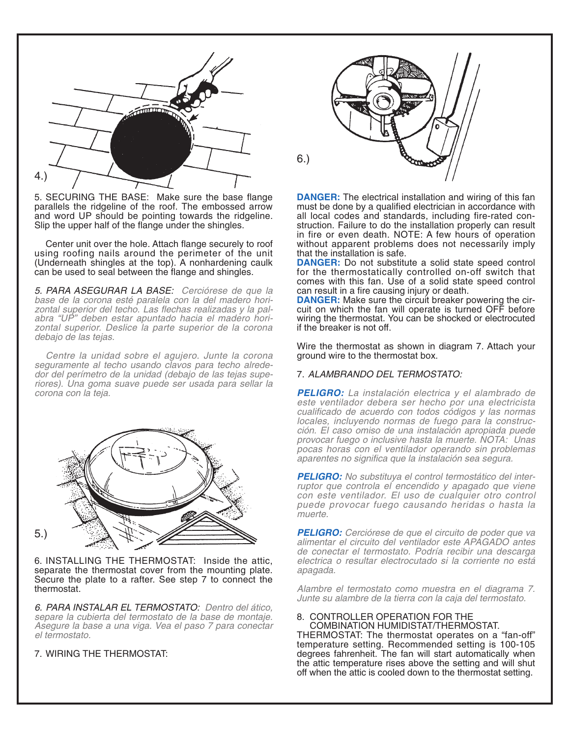

5. SECURING THE BASE: Make sure the base flange parallels the ridgeline of the roof. The embossed arrow and word UP should be pointing towards the ridgeline. Slip the upper half of the flange under the shingles.

Center unit over the hole. Attach flange securely to roof using roofing nails around the perimeter of the unit (Underneath shingles at the top). A nonhardening caulk can be used to seal between the flange and shingles.

5. PARA ASEGURAR LA BASE: Cerciórese de que la base de la corona esté paralela con la del madero horizontal superior del techo. Las flechas realizadas y la palabra "UP" deben estar apuntado hacia el madero horizontal superior. Deslice la parte superior de la corona debajo de las tejas.

Centre la unidad sobre el agujero. Junte la corona seguramente al techo usando clavos para techo alrede-<br>dor del perímetro de la unidad (debajo de las tejas superiores). Una goma suave puede ser usada para sellar la corona con la teja.



6. INSTALLING THE THERMOSTAT: Inside the attic, separate the thermostat cover from the mounting plate. Secure the plate to a rafter. See step 7 to connect the thermostat.

6. PARA INSTALAR EL TERMOSTATO: Dentro del ático, separe la cubierta del termostato de la base de montaje. Asegure la base a una viga. Vea el paso 7 para conectar el termostato.

7. WIRING THE THERMOSTAT:



**DANGER:** The electrical installation and wiring of this fan must be done by a qualified electrician in accordance with all local codes and standards, including fire-rated construction. Failure to do the installation properly can result in fire or even death. NOTE: A few hours of operation without apparent problems does not necessarily imply that the installation is safe.

**DANGER:** Do not substitute a solid state speed control for the thermostatically controlled on-off switch that comes with this fan. Use of a solid state speed control can result in a fire causing injury or death.

**DANGER:** Make sure the circuit breaker powering the circuit on which the fan will operate is turned OFF before wiring the thermostat. You can be shocked or electrocuted if the breaker is not off.

Wire the thermostat as shown in diagram 7. Attach your ground wire to the thermostat box.

# 7. ALAMBRANDO DEL TERMOSTATO:

**PELIGRO:** La instalación electrica y el alambrado de este ventilador debera ser hecho por una electricista cualificado de acuerdo con todos códigos y las normas locales, incluyendo normas de fuego para la construcción. El caso omiso de una instalación apropiada puede provocar fuego o inclusive hasta la muerte. NOTA: Unas pocas horas con el ventilador operando sin problemas aparentes no significa que la instalación sea segura.

**PELIGRO:** No substituya el control termostático del interruptor que controla el encendido y apagado que viene con este ventilador. El uso de cualquier otro control puede provocar fuego causando heridas o hasta la muerte.

**PELIGRO:** Cerciórese de que el circuito de poder que va alimentar el circuito del ventilador este APAGADO antes de conectar el termostato. Podría recibir una descarga electrica o resultar electrocutado si la corriente no está apagada.

Alambre el termostato como muestra en el diagrama 7. Junte su alambre de la tierra con la caja del termostato.

# 8. CONTROLLER OPERATION FOR THE

COMBINATION HUMIDISTAT/THERMOSTAT. THERMOSTAT: The thermostat operates on a "fan-off" temperature setting. Recommended setting is 100-105 degrees fahrenheit. The fan will start automatically when the attic temperature rises above the setting and will shut off when the attic is cooled down to the thermostat setting.